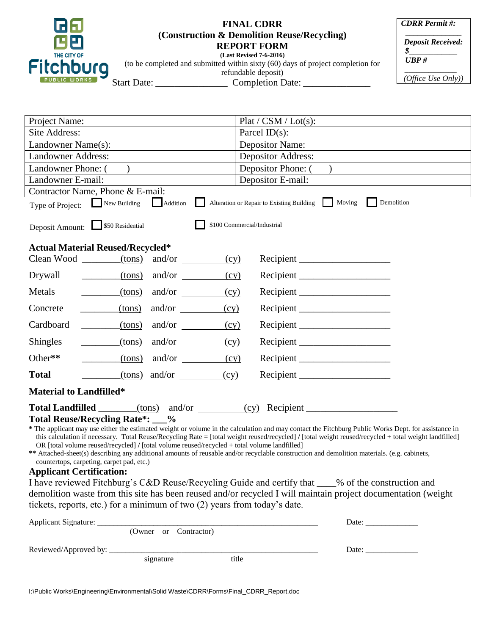

## **FINAL CDRR (Construction & Demolition Reuse/Recycling) REPORT FORM (Last Revised 7-6-2016)**

*CDRR Permit #: \_\_\_\_\_\_\_\_\_\_\_\_\_\_*

*Deposit Received: \$\_\_\_\_\_\_\_\_\_\_\_\_*

 *UBP #*

 *\_\_\_\_\_\_\_\_\_\_\_\_\_ (Office Use Only))*

(to be completed and submitted within sixty (60) days of project completion for refundable deposit) Start Date: \_\_\_\_\_\_\_\_\_\_\_\_\_\_\_ Completion Date: \_\_\_\_\_\_\_\_\_\_\_\_\_\_

| Project Name:                                                                                                                                                                                                                                         | Plat / CSM / Lot(s):                                   |  |  |
|-------------------------------------------------------------------------------------------------------------------------------------------------------------------------------------------------------------------------------------------------------|--------------------------------------------------------|--|--|
| Site Address:                                                                                                                                                                                                                                         | Parcel $ID(s)$ :                                       |  |  |
| Landowner Name(s):                                                                                                                                                                                                                                    | <b>Depositor Name:</b>                                 |  |  |
| <b>Landowner Address:</b>                                                                                                                                                                                                                             | <b>Depositor Address:</b>                              |  |  |
| Landowner Phone: (                                                                                                                                                                                                                                    | Depositor Phone: (                                     |  |  |
| Landowner E-mail:                                                                                                                                                                                                                                     | Depositor E-mail:                                      |  |  |
| Contractor Name, Phone & E-mail:                                                                                                                                                                                                                      |                                                        |  |  |
| Demolition<br>Moving<br>Addition<br>Alteration or Repair to Existing Building<br>New Building<br>Type of Project:                                                                                                                                     |                                                        |  |  |
| \$100 Commercial/Industrial<br>Deposit Amount: 550 Residential                                                                                                                                                                                        |                                                        |  |  |
| <b>Actual Material Reused/Recycled*</b>                                                                                                                                                                                                               |                                                        |  |  |
| Clean Wood $\_\_\_\_\_$ (tons)<br>and/or<br>(cy)                                                                                                                                                                                                      |                                                        |  |  |
| $(tons)$ and/or $\qquad$<br>(cy)<br>Drywall                                                                                                                                                                                                           |                                                        |  |  |
| and/or $\qquad \qquad$<br>Metals<br>(tons)<br>(cy)                                                                                                                                                                                                    |                                                        |  |  |
| (tons)<br>and/or<br>Concrete<br>(cy)                                                                                                                                                                                                                  | Recipient                                              |  |  |
| Cardboard<br>(tons)<br>and/or $\qquad \qquad$<br>(cy)                                                                                                                                                                                                 | Recipient                                              |  |  |
| and/or $\qquad \qquad$<br><b>Shingles</b><br>$_{\rm (tons)}$<br>(cy)                                                                                                                                                                                  |                                                        |  |  |
| Other**<br>$_{\rm (tons)}$<br>and/or $\qquad \qquad$<br>(cy)                                                                                                                                                                                          |                                                        |  |  |
| $(tons)$ and/or<br><b>Total</b><br>(cy)                                                                                                                                                                                                               |                                                        |  |  |
| <b>Material to Landfilled*</b>                                                                                                                                                                                                                        |                                                        |  |  |
| Total Landfilled ________(tons) and/or _________(cy) Recipient _________________                                                                                                                                                                      |                                                        |  |  |
| Total Reuse/Recycling Rate*: __%                                                                                                                                                                                                                      |                                                        |  |  |
| * The applicant may use either the estimated weight or volume in the calculation and may contact the Fitchburg Public Works Dept. for assistance in                                                                                                   |                                                        |  |  |
| this calculation if necessary. Total Reuse/Recycling Rate = [total weight reused/recycled] / [total weight reused/recycled + total weight landfilled]<br>OR [total volume reused/recycled] / [total volume reused/recycled + total volume landfilled] |                                                        |  |  |
| ** Attached-sheet(s) describing any additional amounts of reusable and/or recyclable construction and demolition materials. (e.g. cabinets,                                                                                                           |                                                        |  |  |
| countertops, carpeting, carpet pad, etc.)<br><b>Applicant Certification:</b>                                                                                                                                                                          |                                                        |  |  |
| I have reviewed Fitchburg's C&D Reuse/Recycling Guide and certify that ____% of the construction and                                                                                                                                                  |                                                        |  |  |
| demolition waste from this site has been reused and/or recycled I will maintain project documentation (weight                                                                                                                                         |                                                        |  |  |
| tickets, reports, etc.) for a minimum of two (2) years from today's date.                                                                                                                                                                             |                                                        |  |  |
|                                                                                                                                                                                                                                                       |                                                        |  |  |
|                                                                                                                                                                                                                                                       |                                                        |  |  |
|                                                                                                                                                                                                                                                       | Date: $\frac{1}{\sqrt{1-\frac{1}{2}}\cdot\frac{1}{2}}$ |  |  |
|                                                                                                                                                                                                                                                       |                                                        |  |  |
|                                                                                                                                                                                                                                                       |                                                        |  |  |